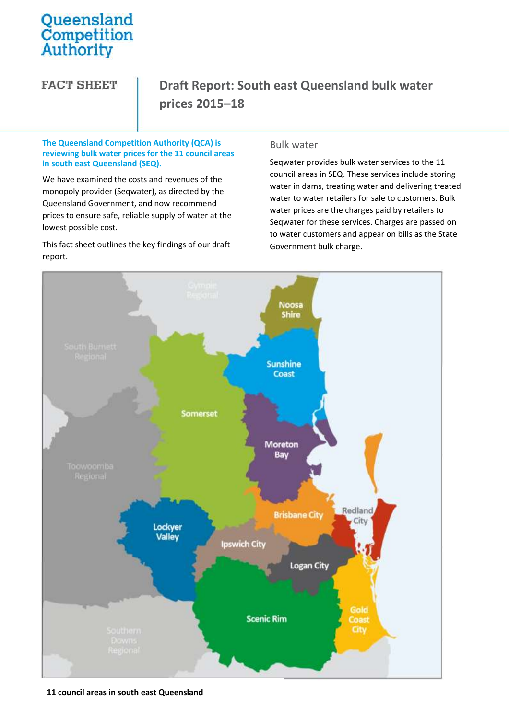# Queensland<br>Competition<br>Authority

**FACT SHEET** 

# **Draft Report: South east Queensland bulk water prices 2015–18**

#### **The Queensland Competition Authority (QCA) is reviewing bulk water prices for the 11 council areas in south east Queensland (SEQ).**

We have examined the costs and revenues of the monopoly provider (Seqwater), as directed by the Queensland Government, and now recommend prices to ensure safe, reliable supply of water at the lowest possible cost.

This fact sheet outlines the key findings of our draft report.

## Bulk water

Seqwater provides bulk water services to the 11 council areas in SEQ. These services include storing water in dams, treating water and delivering treated water to water retailers for sale to customers. Bulk water prices are the charges paid by retailers to Seqwater for these services. Charges are passed on to water customers and appear on bills as the State Government bulk charge.



**11 council areas in south east Queensland**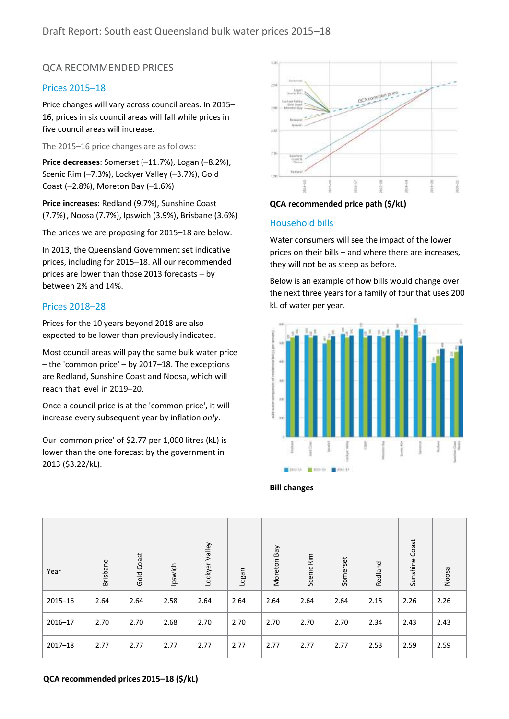# QCA RECOMMENDED PRICES

### Prices 2015–18

Price changes will vary across council areas. In 2015– 16, prices in six council areas will fall while prices in five council areas will increase.

The 2015–16 price changes are as follows:

Price decreases: Somerset (-11.7%), Logan (-8.2%), Scenic Rim (–7.3%), Lockyer Valley (–3.7%), Gold Coast (–2.8%), Moreton Bay (–1.6%)

**Price increases**: Redland (9.7%), Sunshine Coast (7.7%), Noosa (7.7%), Ipswich (3.9%), Brisbane (3.6%)

The prices we are proposing for 2015–18 are below.

In 2013, the Queensland Government set indicative prices, including for 2015–18. All our recommended prices are lower than those 2013 forecasts – by between 2% and 14%.

### Prices 2018–28

Prices for the 10 years beyond 2018 are also expected to be lower than previously indicated.

Most council areas will pay the same bulk water price – the 'common price' – by 2017–18. The exceptions are Redland, Sunshine Coast and Noosa, which will reach that level in 2019–20.

Once a council price is at the 'common price', it will increase every subsequent year by inflation *only*.

Our 'common price' of \$2.77 per 1,000 litres (kL) is lower than the one forecast by the government in 2013 (\$3.22/kL).



#### **QCA recommended price path (\$/kL)**

#### Household bills

Water consumers will see the impact of the lower prices on their bills – and where there are increases, they will not be as steep as before.

Below is an example of how bills would change over the next three years for a family of four that uses 200 kL of water per year.



**Bill changes**

| Year        | <b>Brisbane</b> | Gold Coast | Ipswich | Lockyer Valley | Logan | Moreton Bay | Scenic Rim | Somerset | Redland | Coast<br>Sunshine | Noosa |
|-------------|-----------------|------------|---------|----------------|-------|-------------|------------|----------|---------|-------------------|-------|
| $2015 - 16$ | 2.64            | 2.64       | 2.58    | 2.64           | 2.64  | 2.64        | 2.64       | 2.64     | 2.15    | 2.26              | 2.26  |
| $2016 - 17$ | 2.70            | 2.70       | 2.68    | 2.70           | 2.70  | 2.70        | 2.70       | 2.70     | 2.34    | 2.43              | 2.43  |
| $2017 - 18$ | 2.77            | 2.77       | 2.77    | 2.77           | 2.77  | 2.77        | 2.77       | 2.77     | 2.53    | 2.59              | 2.59  |